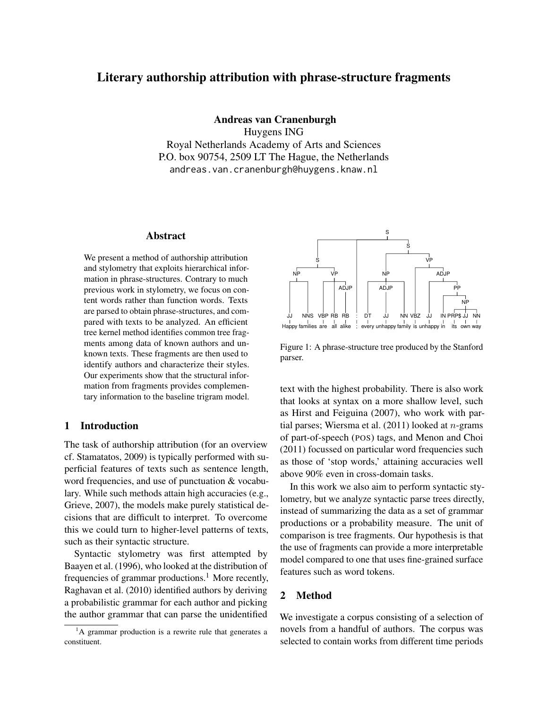# Literary authorship attribution with phrase-structure fragments

Andreas van Cranenburgh

Huygens ING Royal Netherlands Academy of Arts and Sciences P.O. box 90754, 2509 LT The Hague, the Netherlands andreas.van.cranenburgh@huygens.knaw.nl

#### Abstract

We present a method of authorship attribution and stylometry that exploits hierarchical information in phrase-structures. Contrary to much previous work in stylometry, we focus on content words rather than function words. Texts are parsed to obtain phrase-structures, and compared with texts to be analyzed. An efficient tree kernel method identifies common tree fragments among data of known authors and unknown texts. These fragments are then used to identify authors and characterize their styles. Our experiments show that the structural information from fragments provides complementary information to the baseline trigram model.

#### 1 Introduction

The task of authorship attribution (for an overview cf. Stamatatos, 2009) is typically performed with superficial features of texts such as sentence length, word frequencies, and use of punctuation & vocabulary. While such methods attain high accuracies (e.g., Grieve, 2007), the models make purely statistical decisions that are difficult to interpret. To overcome this we could turn to higher-level patterns of texts, such as their syntactic structure.

Syntactic stylometry was first attempted by Baayen et al. (1996), who looked at the distribution of frequencies of grammar productions.<sup>1</sup> More recently, Raghavan et al. (2010) identified authors by deriving a probabilistic grammar for each author and picking the author grammar that can parse the unidentified



Figure 1: A phrase-structure tree produced by the Stanford parser.

text with the highest probability. There is also work that looks at syntax on a more shallow level, such as Hirst and Feiguina (2007), who work with partial parses; Wiersma et al.  $(2011)$  looked at *n*-grams of part-of-speech (POS) tags, and Menon and Choi (2011) focussed on particular word frequencies such as those of 'stop words,' attaining accuracies well above 90% even in cross-domain tasks.

In this work we also aim to perform syntactic stylometry, but we analyze syntactic parse trees directly, instead of summarizing the data as a set of grammar productions or a probability measure. The unit of comparison is tree fragments. Our hypothesis is that the use of fragments can provide a more interpretable model compared to one that uses fine-grained surface features such as word tokens.

## 2 Method

We investigate a corpus consisting of a selection of novels from a handful of authors. The corpus was selected to contain works from different time periods

 ${}^{1}$ A grammar production is a rewrite rule that generates a constituent.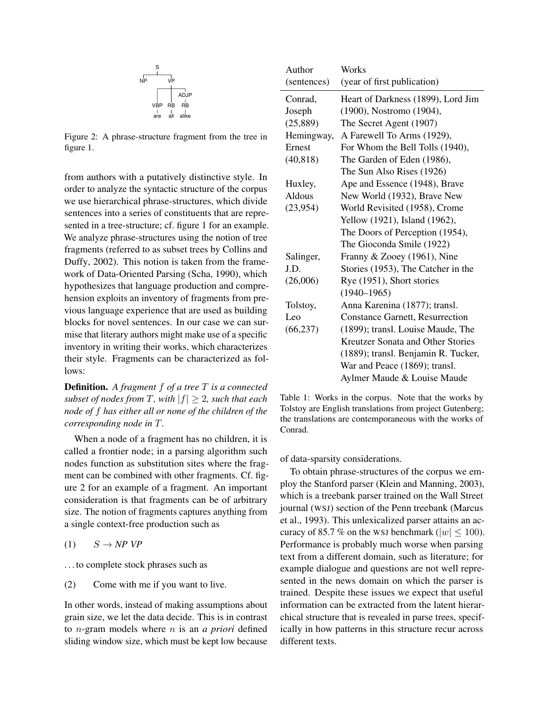

Figure 2: A phrase-structure fragment from the tree in figure 1.

from authors with a putatively distinctive style. In order to analyze the syntactic structure of the corpus we use hierarchical phrase-structures, which divide sentences into a series of constituents that are represented in a tree-structure; cf. figure 1 for an example. We analyze phrase-structures using the notion of tree fragments (referred to as subset trees by Collins and Duffy, 2002). This notion is taken from the framework of Data-Oriented Parsing (Scha, 1990), which hypothesizes that language production and comprehension exploits an inventory of fragments from previous language experience that are used as building blocks for novel sentences. In our case we can surmise that literary authors might make use of a specific inventory in writing their works, which characterizes their style. Fragments can be characterized as follows:

Definition. *A fragment* f *of a tree* T *is a connected subset of nodes from*  $T$ *, with*  $|f| \geq 2$ *, such that each node of* f *has either all or none of the children of the corresponding node in* T*.*

When a node of a fragment has no children, it is called a frontier node; in a parsing algorithm such nodes function as substitution sites where the fragment can be combined with other fragments. Cf. figure 2 for an example of a fragment. An important consideration is that fragments can be of arbitrary size. The notion of fragments captures anything from a single context-free production such as

 $(1)$   $S \rightarrow NP VP$ 

. . . to complete stock phrases such as

(2) Come with me if you want to live.

In other words, instead of making assumptions about grain size, we let the data decide. This is in contrast to n-gram models where n is an *a priori* defined sliding window size, which must be kept low because

| Author      | Works                                  |  |  |  |  |
|-------------|----------------------------------------|--|--|--|--|
| (sentences) | (year of first publication)            |  |  |  |  |
| Conrad,     | Heart of Darkness (1899), Lord Jim     |  |  |  |  |
| Joseph      | (1900), Nostromo (1904),               |  |  |  |  |
| (25,889)    | The Secret Agent (1907)                |  |  |  |  |
| Hemingway,  | A Farewell To Arms (1929),             |  |  |  |  |
| Ernest      | For Whom the Bell Tolls (1940),        |  |  |  |  |
| (40, 818)   | The Garden of Eden (1986),             |  |  |  |  |
|             | The Sun Also Rises (1926)              |  |  |  |  |
| Huxley,     | Ape and Essence (1948), Brave          |  |  |  |  |
| Aldous      | New World (1932), Brave New            |  |  |  |  |
| (23,954)    | World Revisited (1958), Crome          |  |  |  |  |
|             | Yellow (1921), Island (1962),          |  |  |  |  |
|             | The Doors of Perception (1954),        |  |  |  |  |
|             | The Gioconda Smile (1922)              |  |  |  |  |
| Salinger,   | Franny & Zooey (1961), Nine            |  |  |  |  |
| J.D.        | Stories (1953), The Catcher in the     |  |  |  |  |
| (26,006)    | Rye (1951), Short stories              |  |  |  |  |
|             | $(1940 - 1965)$                        |  |  |  |  |
| Tolstoy,    | Anna Karenina (1877); transl.          |  |  |  |  |
| Leo         | <b>Constance Garnett, Resurrection</b> |  |  |  |  |
| (66, 237)   | (1899); transl. Louise Maude, The      |  |  |  |  |
|             | Kreutzer Sonata and Other Stories      |  |  |  |  |
|             | (1889); transl. Benjamin R. Tucker,    |  |  |  |  |
|             | War and Peace (1869); transl.          |  |  |  |  |
|             | Aylmer Maude & Louise Maude            |  |  |  |  |

Table 1: Works in the corpus. Note that the works by Tolstoy are English translations from project Gutenberg; the translations are contemporaneous with the works of Conrad.

of data-sparsity considerations.

To obtain phrase-structures of the corpus we employ the Stanford parser (Klein and Manning, 2003), which is a treebank parser trained on the Wall Street journal (WSJ) section of the Penn treebank (Marcus et al., 1993). This unlexicalized parser attains an accuracy of 85.7 % on the WSJ benchmark ( $|w| \le 100$ ). Performance is probably much worse when parsing text from a different domain, such as literature; for example dialogue and questions are not well represented in the news domain on which the parser is trained. Despite these issues we expect that useful information can be extracted from the latent hierarchical structure that is revealed in parse trees, specifically in how patterns in this structure recur across different texts.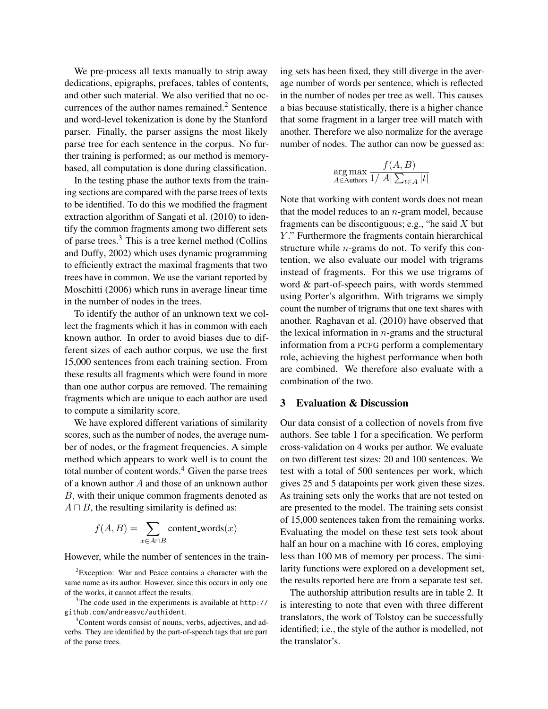We pre-process all texts manually to strip away dedications, epigraphs, prefaces, tables of contents, and other such material. We also verified that no occurrences of the author names remained.<sup>2</sup> Sentence and word-level tokenization is done by the Stanford parser. Finally, the parser assigns the most likely parse tree for each sentence in the corpus. No further training is performed; as our method is memorybased, all computation is done during classification.

In the testing phase the author texts from the training sections are compared with the parse trees of texts to be identified. To do this we modified the fragment extraction algorithm of Sangati et al. (2010) to identify the common fragments among two different sets of parse trees.<sup>3</sup> This is a tree kernel method (Collins and Duffy, 2002) which uses dynamic programming to efficiently extract the maximal fragments that two trees have in common. We use the variant reported by Moschitti (2006) which runs in average linear time in the number of nodes in the trees.

To identify the author of an unknown text we collect the fragments which it has in common with each known author. In order to avoid biases due to different sizes of each author corpus, we use the first 15,000 sentences from each training section. From these results all fragments which were found in more than one author corpus are removed. The remaining fragments which are unique to each author are used to compute a similarity score.

We have explored different variations of similarity scores, such as the number of nodes, the average number of nodes, or the fragment frequencies. A simple method which appears to work well is to count the total number of content words. $4$  Given the parse trees of a known author A and those of an unknown author B, with their unique common fragments denoted as  $A \sqcap B$ , the resulting similarity is defined as:

$$
f(A, B) = \sum_{x \in A \cap B} \text{content_words}(x)
$$

However, while the number of sentences in the train-

ing sets has been fixed, they still diverge in the average number of words per sentence, which is reflected in the number of nodes per tree as well. This causes a bias because statistically, there is a higher chance that some fragment in a larger tree will match with another. Therefore we also normalize for the average number of nodes. The author can now be guessed as:

$$
\arg\max_{A \in \text{Authors}} \frac{f(A, B)}{1/|A| \sum_{t \in A} |t|}
$$

Note that working with content words does not mean that the model reduces to an  $n$ -gram model, because fragments can be discontiguous; e.g., "he said  $X$  but Y." Furthermore the fragments contain hierarchical structure while n-grams do not. To verify this contention, we also evaluate our model with trigrams instead of fragments. For this we use trigrams of word & part-of-speech pairs, with words stemmed using Porter's algorithm. With trigrams we simply count the number of trigrams that one text shares with another. Raghavan et al. (2010) have observed that the lexical information in  $n$ -grams and the structural information from a PCFG perform a complementary role, achieving the highest performance when both are combined. We therefore also evaluate with a combination of the two.

### 3 Evaluation & Discussion

Our data consist of a collection of novels from five authors. See table 1 for a specification. We perform cross-validation on 4 works per author. We evaluate on two different test sizes: 20 and 100 sentences. We test with a total of 500 sentences per work, which gives 25 and 5 datapoints per work given these sizes. As training sets only the works that are not tested on are presented to the model. The training sets consist of 15,000 sentences taken from the remaining works. Evaluating the model on these test sets took about half an hour on a machine with 16 cores, employing less than 100 MB of memory per process. The similarity functions were explored on a development set, the results reported here are from a separate test set.

The authorship attribution results are in table 2. It is interesting to note that even with three different translators, the work of Tolstoy can be successfully identified; i.e., the style of the author is modelled, not the translator's.

<sup>2</sup>Exception: War and Peace contains a character with the same name as its author. However, since this occurs in only one of the works, it cannot affect the results.

 $3$ The code used in the experiments is available at http:// github.com/andreasvc/authident.

<sup>4</sup>Content words consist of nouns, verbs, adjectives, and adverbs. They are identified by the part-of-speech tags that are part of the parse trees.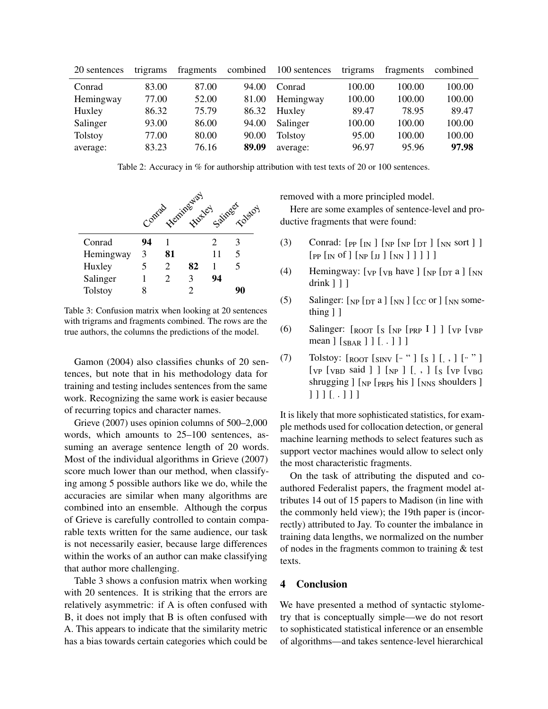| 20 sentences   | trigrams | fragments | combined | 100 sentences  | trigrams | fragments | combined |
|----------------|----------|-----------|----------|----------------|----------|-----------|----------|
| Conrad         | 83.00    | 87.00     | 94.00    | Conrad         | 100.00   | 100.00    | 100.00   |
| Hemingway      | 77.00    | 52.00     | 81.00    | Hemingway      | 100.00   | 100.00    | 100.00   |
| Huxley         | 86.32    | 75.79     | 86.32    | Huxley         | 89.47    | 78.95     | 89.47    |
| Salinger       | 93.00    | 86.00     | 94.00    | Salinger       | 100.00   | 100.00    | 100.00   |
| <b>Tolstoy</b> | 77.00    | 80.00     | 90.00    | <b>Tolstoy</b> | 95.00    | 100.00    | 100.00   |
| average:       | 83.23    | 76.16     | 89.09    | average:       | 96.97    | 95.96     | 97.98    |

Table 2: Accuracy in % for authorship attribution with test texts of 20 or 100 sentences.



Table 3: Confusion matrix when looking at 20 sentences with trigrams and fragments combined. The rows are the true authors, the columns the predictions of the model.

Gamon (2004) also classifies chunks of 20 sentences, but note that in his methodology data for training and testing includes sentences from the same work. Recognizing the same work is easier because of recurring topics and character names.

Grieve (2007) uses opinion columns of 500–2,000 words, which amounts to 25–100 sentences, assuming an average sentence length of 20 words. Most of the individual algorithms in Grieve (2007) score much lower than our method, when classifying among 5 possible authors like we do, while the accuracies are similar when many algorithms are combined into an ensemble. Although the corpus of Grieve is carefully controlled to contain comparable texts written for the same audience, our task is not necessarily easier, because large differences within the works of an author can make classifying that author more challenging.

Table 3 shows a confusion matrix when working with 20 sentences. It is striking that the errors are relatively asymmetric: if A is often confused with B, it does not imply that B is often confused with A. This appears to indicate that the similarity metric has a bias towards certain categories which could be removed with a more principled model.

Here are some examples of sentence-level and productive fragments that were found:

- (3) Conrad:  $[p_P [N] \cdot [NP [N] \cdot [N] \cdot [NN]$  sort  $]$  $[$  [PP  $[$ <sub>IN</sub> of  $]$   $[$ <sub>NP</sub>  $[$ <sub>JJ</sub>  $]$  $[$ <sub>NN</sub> $]$  $]$  $]$  $]$
- (4) Hemingway:  $[\text{vp} [\text{v}_B \text{ have }] [\text{vp} [\text{p}_T \text{a }] [\text{v}_N$ drink ] ] ]
- (5) Salinger:  $[NP]$  [DT a ]  $[NN]$  [CC or ] [NN something  $]$   $]$
- (6) Salinger: [ROOT [<sup>S</sup> [NP [PRP I ] ] [VP [VBP mean ] [<sub>SBAR</sub> ] ] [. . ] ] ]
- (7) Tolstoy: [ROOT [SINV [" " ] [S ] [, , ] [" "] [VP [VBD said ] ] [NP ] [, , ] [<sup>S</sup> [VP [VBG shrugging ] [NP [PRP\$ his ] [NNS shoulders ] ] ] ] [. . ] ] ]

It is likely that more sophisticated statistics, for example methods used for collocation detection, or general machine learning methods to select features such as support vector machines would allow to select only the most characteristic fragments.

On the task of attributing the disputed and coauthored Federalist papers, the fragment model attributes 14 out of 15 papers to Madison (in line with the commonly held view); the 19th paper is (incorrectly) attributed to Jay. To counter the imbalance in training data lengths, we normalized on the number of nodes in the fragments common to training & test texts.

#### 4 Conclusion

We have presented a method of syntactic stylometry that is conceptually simple—we do not resort to sophisticated statistical inference or an ensemble of algorithms—and takes sentence-level hierarchical